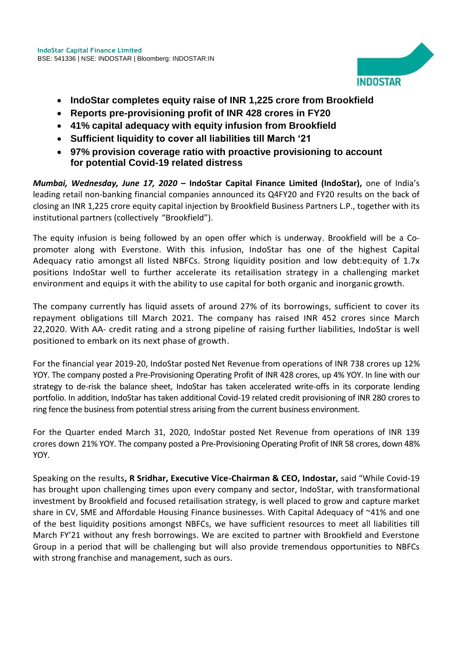

- **IndoStar completes equity raise of INR 1,225 crore from Brookfield**
- **Reports pre-provisioning profit of INR 428 crores in FY20**
- **41% capital adequacy with equity infusion from Brookfield**
- **Sufficient liquidity to cover all liabilities till March '21**
- **97% provision coverage ratio with proactive provisioning to account for potential Covid-19 related distress**

*Mumbai, Wednesday, June 17, 2020* **– IndoStar Capital Finance Limited (IndoStar),** one of India's leading retail non-banking financial companies announced its Q4FY20 and FY20 results on the back of closing an INR 1,225 crore equity capital injection by Brookfield Business Partners L.P., together with its institutional partners (collectively "Brookfield").

The equity infusion is being followed by an open offer which is underway. Brookfield will be a Copromoter along with Everstone. With this infusion, IndoStar has one of the highest Capital Adequacy ratio amongst all listed NBFCs. Strong liquidity position and low debt:equity of 1.7x positions IndoStar well to further accelerate its retailisation strategy in a challenging market environment and equips it with the ability to use capital for both organic and inorganic growth.

The company currently has liquid assets of around 27% of its borrowings, sufficient to cover its repayment obligations till March 2021. The company has raised INR 452 crores since March 22,2020. With AA- credit rating and a strong pipeline of raising further liabilities, IndoStar is well positioned to embark on its next phase of growth.

For the financial year 2019-20, IndoStar posted Net Revenue from operations of INR 738 crores up 12% YOY. The company posted a Pre-Provisioning Operating Profit of INR 428 crores, up 4% YOY. In line with our strategy to de-risk the balance sheet, IndoStar has taken accelerated write-offs in its corporate lending portfolio. In addition, IndoStar has taken additional Covid-19 related credit provisioning of INR 280 crores to ring fence the business from potential stress arising from the current business environment.

For the Quarter ended March 31, 2020, IndoStar posted Net Revenue from operations of INR 139 crores down 21% YOY. The company posted a Pre-Provisioning Operating Profit of INR 58 crores, down 48% YOY.

Speaking on the results**, R Sridhar, Executive Vice-Chairman & CEO, Indostar,** said "While Covid-19 has brought upon challenging times upon every company and sector, IndoStar, with transformational investment by Brookfield and focused retailisation strategy, is well placed to grow and capture market share in CV, SME and Affordable Housing Finance businesses. With Capital Adequacy of ~41% and one of the best liquidity positions amongst NBFCs, we have sufficient resources to meet all liabilities till March FY'21 without any fresh borrowings. We are excited to partner with Brookfield and Everstone Group in a period that will be challenging but will also provide tremendous opportunities to NBFCs with strong franchise and management, such as ours.